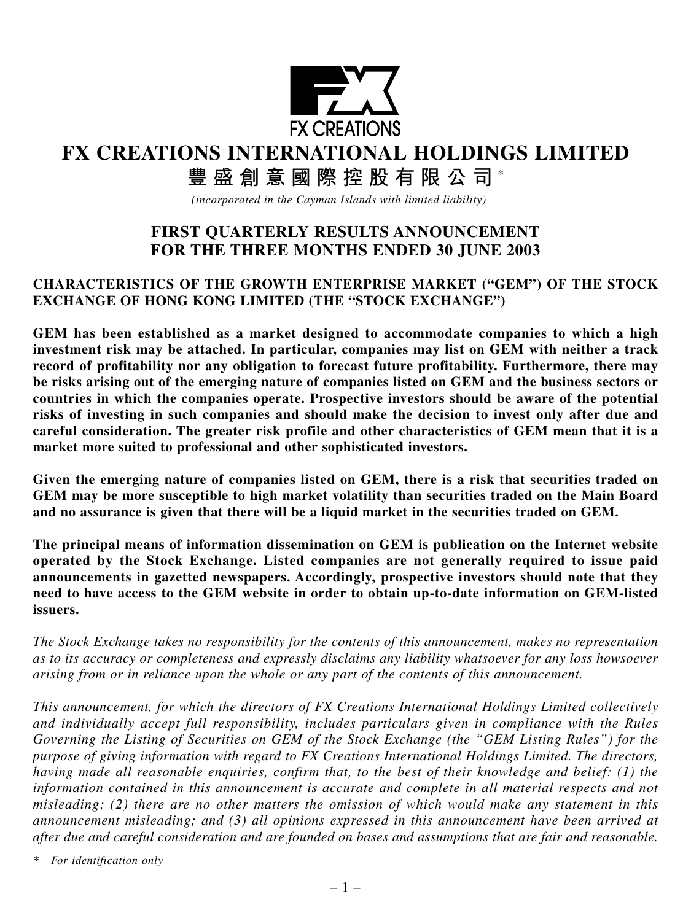

## **FX CREATIONS INTERNATIONAL HOLDINGS LIMITED**

# **豐盛創意國際控股有限公司** \*

*(incorporated in the Cayman Islands with limited liability)*

## **FIRST QUARTERLY RESULTS ANNOUNCEMENT FOR THE THREE MONTHS ENDED 30 JUNE 2003**

## **CHARACTERISTICS OF THE GROWTH ENTERPRISE MARKET ("GEM") OF THE STOCK EXCHANGE OF HONG KONG LIMITED (THE "STOCK EXCHANGE")**

**GEM has been established as a market designed to accommodate companies to which a high investment risk may be attached. In particular, companies may list on GEM with neither a track record of profitability nor any obligation to forecast future profitability. Furthermore, there may be risks arising out of the emerging nature of companies listed on GEM and the business sectors or countries in which the companies operate. Prospective investors should be aware of the potential risks of investing in such companies and should make the decision to invest only after due and careful consideration. The greater risk profile and other characteristics of GEM mean that it is a market more suited to professional and other sophisticated investors.**

**Given the emerging nature of companies listed on GEM, there is a risk that securities traded on GEM may be more susceptible to high market volatility than securities traded on the Main Board and no assurance is given that there will be a liquid market in the securities traded on GEM.**

**The principal means of information dissemination on GEM is publication on the Internet website operated by the Stock Exchange. Listed companies are not generally required to issue paid announcements in gazetted newspapers. Accordingly, prospective investors should note that they need to have access to the GEM website in order to obtain up-to-date information on GEM-listed issuers.**

*The Stock Exchange takes no responsibility for the contents of this announcement, makes no representation as to its accuracy or completeness and expressly disclaims any liability whatsoever for any loss howsoever arising from or in reliance upon the whole or any part of the contents of this announcement.*

*This announcement, for which the directors of FX Creations International Holdings Limited collectively and individually accept full responsibility, includes particulars given in compliance with the Rules Governing the Listing of Securities on GEM of the Stock Exchange (the "GEM Listing Rules") for the purpose of giving information with regard to FX Creations International Holdings Limited. The directors, having made all reasonable enquiries, confirm that, to the best of their knowledge and belief: (1) the information contained in this announcement is accurate and complete in all material respects and not misleading; (2) there are no other matters the omission of which would make any statement in this announcement misleading; and (3) all opinions expressed in this announcement have been arrived at after due and careful consideration and are founded on bases and assumptions that are fair and reasonable.*

*\* For identification only*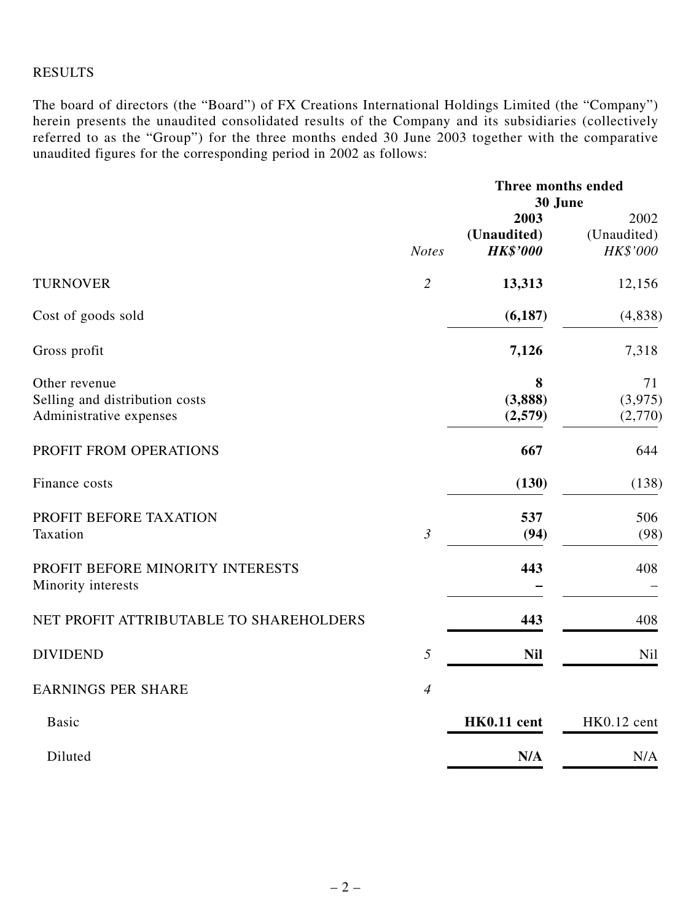#### RESULTS

The board of directors (the "Board") of FX Creations International Holdings Limited (the "Company") herein presents the unaudited consolidated results of the Company and its subsidiaries (collectively referred to as the "Group") for the three months ended 30 June 2003 together with the comparative unaudited figures for the corresponding period in 2002 as follows:

|                                                                            |                | Three months ended<br>30 June          |                                 |
|----------------------------------------------------------------------------|----------------|----------------------------------------|---------------------------------|
|                                                                            | <b>Notes</b>   | 2003<br>(Unaudited)<br><b>HK\$'000</b> | 2002<br>(Unaudited)<br>HK\$'000 |
| <b>TURNOVER</b>                                                            | $\overline{2}$ | 13,313                                 | 12,156                          |
| Cost of goods sold                                                         |                | (6, 187)                               | (4, 838)                        |
| Gross profit                                                               |                | 7,126                                  | 7,318                           |
| Other revenue<br>Selling and distribution costs<br>Administrative expenses |                | 8<br>(3,888)<br>(2,579)                | 71<br>(3,975)<br>(2,770)        |
| PROFIT FROM OPERATIONS                                                     |                | 667                                    | 644                             |
| Finance costs                                                              |                | (130)                                  | (138)                           |
| PROFIT BEFORE TAXATION<br>Taxation                                         | $\mathfrak{Z}$ | 537<br>(94)                            | 506<br>(98)                     |
| PROFIT BEFORE MINORITY INTERESTS<br>Minority interests                     |                | 443                                    | 408                             |
| NET PROFIT ATTRIBUTABLE TO SHAREHOLDERS                                    |                | 443                                    | 408                             |
| <b>DIVIDEND</b>                                                            | 5              | <b>Nil</b>                             | Nil                             |
| <b>EARNINGS PER SHARE</b>                                                  | $\overline{4}$ |                                        |                                 |
| <b>Basic</b>                                                               |                | HK0.11 cent                            | HK0.12 cent                     |
| Diluted                                                                    |                | N/A                                    | N/A                             |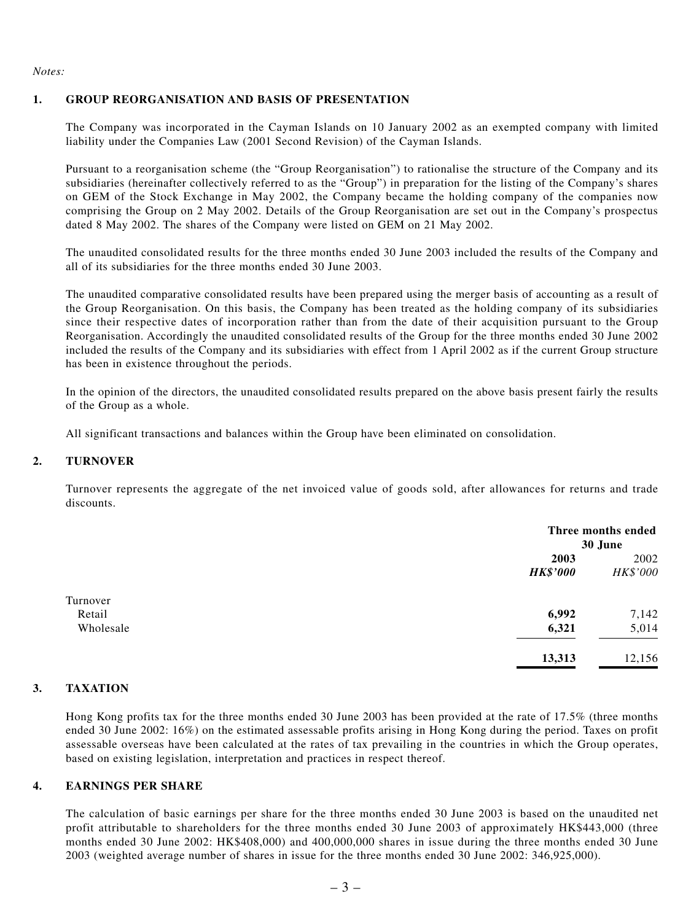*Notes:*

#### **1. GROUP REORGANISATION AND BASIS OF PRESENTATION**

The Company was incorporated in the Cayman Islands on 10 January 2002 as an exempted company with limited liability under the Companies Law (2001 Second Revision) of the Cayman Islands.

Pursuant to a reorganisation scheme (the "Group Reorganisation") to rationalise the structure of the Company and its subsidiaries (hereinafter collectively referred to as the "Group") in preparation for the listing of the Company's shares on GEM of the Stock Exchange in May 2002, the Company became the holding company of the companies now comprising the Group on 2 May 2002. Details of the Group Reorganisation are set out in the Company's prospectus dated 8 May 2002. The shares of the Company were listed on GEM on 21 May 2002.

The unaudited consolidated results for the three months ended 30 June 2003 included the results of the Company and all of its subsidiaries for the three months ended 30 June 2003.

The unaudited comparative consolidated results have been prepared using the merger basis of accounting as a result of the Group Reorganisation. On this basis, the Company has been treated as the holding company of its subsidiaries since their respective dates of incorporation rather than from the date of their acquisition pursuant to the Group Reorganisation. Accordingly the unaudited consolidated results of the Group for the three months ended 30 June 2002 included the results of the Company and its subsidiaries with effect from 1 April 2002 as if the current Group structure has been in existence throughout the periods.

In the opinion of the directors, the unaudited consolidated results prepared on the above basis present fairly the results of the Group as a whole.

All significant transactions and balances within the Group have been eliminated on consolidation.

#### **2. TURNOVER**

Turnover represents the aggregate of the net invoiced value of goods sold, after allowances for returns and trade discounts.

|           |                 | Three months ended<br>30 June |  |
|-----------|-----------------|-------------------------------|--|
|           | 2003            | 2002                          |  |
|           | <b>HK\$'000</b> | HK\$'000                      |  |
| Turnover  |                 |                               |  |
| Retail    | 6,992           | 7,142                         |  |
| Wholesale | 6,321           | 5,014                         |  |
|           | 13,313          | 12,156                        |  |

#### **3. TAXATION**

Hong Kong profits tax for the three months ended 30 June 2003 has been provided at the rate of 17.5% (three months ended 30 June 2002: 16%) on the estimated assessable profits arising in Hong Kong during the period. Taxes on profit assessable overseas have been calculated at the rates of tax prevailing in the countries in which the Group operates, based on existing legislation, interpretation and practices in respect thereof.

#### **4. EARNINGS PER SHARE**

The calculation of basic earnings per share for the three months ended 30 June 2003 is based on the unaudited net profit attributable to shareholders for the three months ended 30 June 2003 of approximately HK\$443,000 (three months ended 30 June 2002: HK\$408,000) and 400,000,000 shares in issue during the three months ended 30 June 2003 (weighted average number of shares in issue for the three months ended 30 June 2002: 346,925,000).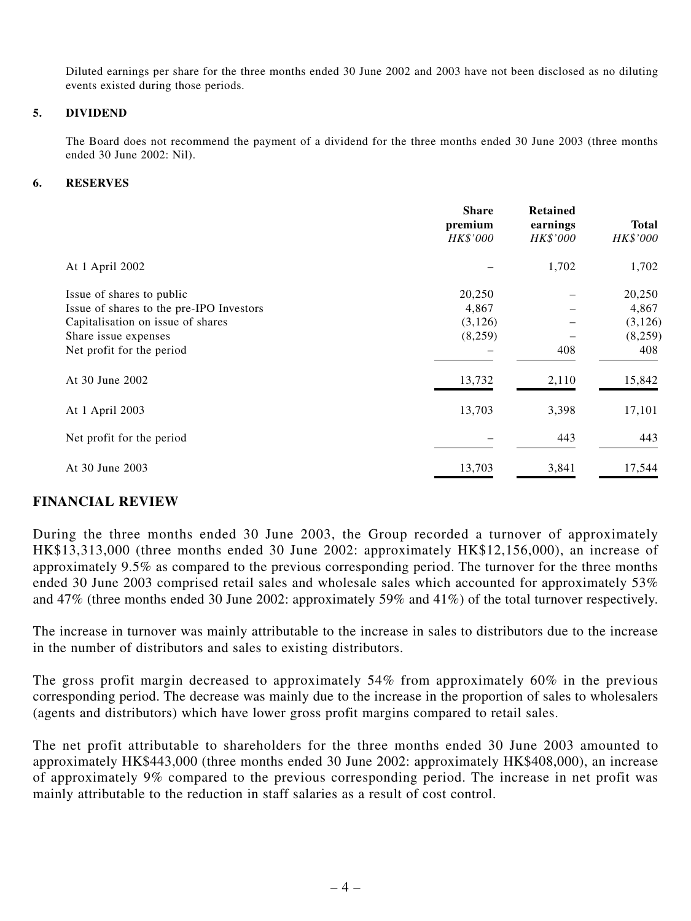Diluted earnings per share for the three months ended 30 June 2002 and 2003 have not been disclosed as no diluting events existed during those periods.

#### **5. DIVIDEND**

The Board does not recommend the payment of a dividend for the three months ended 30 June 2003 (three months ended 30 June 2002: Nil).

#### **6. RESERVES**

|                                          | <b>Share</b><br>premium<br>HK\$'000 | <b>Retained</b><br>earnings<br>HK\$'000 | <b>Total</b><br>HK\$'000 |
|------------------------------------------|-------------------------------------|-----------------------------------------|--------------------------|
| At 1 April 2002                          |                                     | 1,702                                   | 1,702                    |
| Issue of shares to public                | 20,250                              |                                         | 20,250                   |
| Issue of shares to the pre-IPO Investors | 4,867                               |                                         | 4,867                    |
| Capitalisation on issue of shares        | (3,126)                             |                                         | (3, 126)                 |
| Share issue expenses                     | (8,259)                             |                                         | (8,259)                  |
| Net profit for the period                |                                     | 408                                     | 408                      |
| At 30 June 2002                          | 13,732                              | 2,110                                   | 15,842                   |
| At 1 April 2003                          | 13,703                              | 3,398                                   | 17,101                   |
| Net profit for the period                |                                     | 443                                     | 443                      |
| At 30 June 2003                          | 13,703                              | 3,841                                   | 17,544                   |

#### **FINANCIAL REVIEW**

During the three months ended 30 June 2003, the Group recorded a turnover of approximately HK\$13,313,000 (three months ended 30 June 2002: approximately HK\$12,156,000), an increase of approximately 9.5% as compared to the previous corresponding period. The turnover for the three months ended 30 June 2003 comprised retail sales and wholesale sales which accounted for approximately 53% and 47% (three months ended 30 June 2002: approximately 59% and 41%) of the total turnover respectively.

The increase in turnover was mainly attributable to the increase in sales to distributors due to the increase in the number of distributors and sales to existing distributors.

The gross profit margin decreased to approximately 54% from approximately 60% in the previous corresponding period. The decrease was mainly due to the increase in the proportion of sales to wholesalers (agents and distributors) which have lower gross profit margins compared to retail sales.

The net profit attributable to shareholders for the three months ended 30 June 2003 amounted to approximately HK\$443,000 (three months ended 30 June 2002: approximately HK\$408,000), an increase of approximately 9% compared to the previous corresponding period. The increase in net profit was mainly attributable to the reduction in staff salaries as a result of cost control.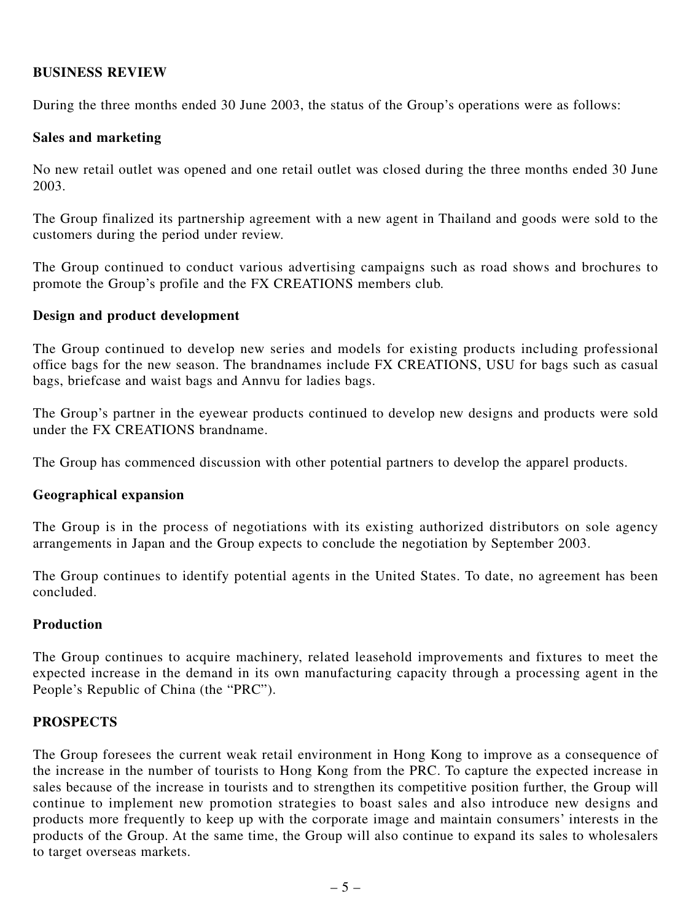#### **BUSINESS REVIEW**

During the three months ended 30 June 2003, the status of the Group's operations were as follows:

#### **Sales and marketing**

No new retail outlet was opened and one retail outlet was closed during the three months ended 30 June 2003.

The Group finalized its partnership agreement with a new agent in Thailand and goods were sold to the customers during the period under review.

The Group continued to conduct various advertising campaigns such as road shows and brochures to promote the Group's profile and the FX CREATIONS members club.

#### **Design and product development**

The Group continued to develop new series and models for existing products including professional office bags for the new season. The brandnames include FX CREATIONS, USU for bags such as casual bags, briefcase and waist bags and Annvu for ladies bags.

The Group's partner in the eyewear products continued to develop new designs and products were sold under the FX CREATIONS brandname.

The Group has commenced discussion with other potential partners to develop the apparel products.

#### **Geographical expansion**

The Group is in the process of negotiations with its existing authorized distributors on sole agency arrangements in Japan and the Group expects to conclude the negotiation by September 2003.

The Group continues to identify potential agents in the United States. To date, no agreement has been concluded.

#### **Production**

The Group continues to acquire machinery, related leasehold improvements and fixtures to meet the expected increase in the demand in its own manufacturing capacity through a processing agent in the People's Republic of China (the "PRC").

## **PROSPECTS**

The Group foresees the current weak retail environment in Hong Kong to improve as a consequence of the increase in the number of tourists to Hong Kong from the PRC. To capture the expected increase in sales because of the increase in tourists and to strengthen its competitive position further, the Group will continue to implement new promotion strategies to boast sales and also introduce new designs and products more frequently to keep up with the corporate image and maintain consumers' interests in the products of the Group. At the same time, the Group will also continue to expand its sales to wholesalers to target overseas markets.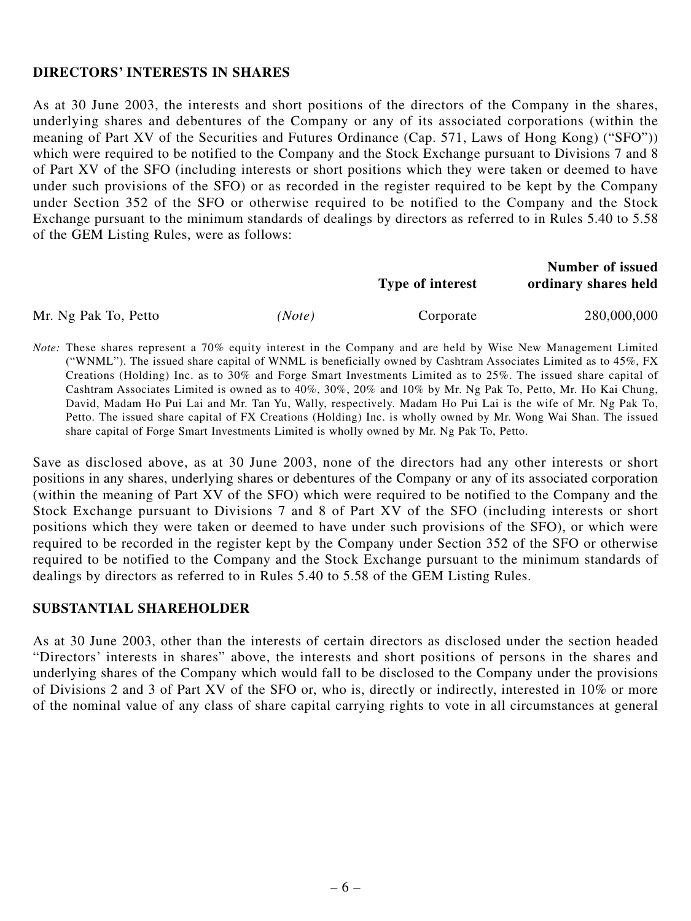#### **DIRECTORS' INTERESTS IN SHARES**

As at 30 June 2003, the interests and short positions of the directors of the Company in the shares, underlying shares and debentures of the Company or any of its associated corporations (within the meaning of Part XV of the Securities and Futures Ordinance (Cap. 571, Laws of Hong Kong) ("SFO")) which were required to be notified to the Company and the Stock Exchange pursuant to Divisions 7 and 8 of Part XV of the SFO (including interests or short positions which they were taken or deemed to have under such provisions of the SFO) or as recorded in the register required to be kept by the Company under Section 352 of the SFO or otherwise required to be notified to the Company and the Stock Exchange pursuant to the minimum standards of dealings by directors as referred to in Rules 5.40 to 5.58 of the GEM Listing Rules, were as follows:

|                      |        | <b>Type of interest</b> | <b>Number of issued</b><br>ordinary shares held |
|----------------------|--------|-------------------------|-------------------------------------------------|
| Mr. Ng Pak To, Petto | (Note) | Corporate               | 280,000,000                                     |

*Note:* These shares represent a 70% equity interest in the Company and are held by Wise New Management Limited ("WNML"). The issued share capital of WNML is beneficially owned by Cashtram Associates Limited as to 45%, FX Creations (Holding) Inc. as to 30% and Forge Smart Investments Limited as to 25%. The issued share capital of Cashtram Associates Limited is owned as to 40%, 30%, 20% and 10% by Mr. Ng Pak To, Petto, Mr. Ho Kai Chung, David, Madam Ho Pui Lai and Mr. Tan Yu, Wally, respectively. Madam Ho Pui Lai is the wife of Mr. Ng Pak To, Petto. The issued share capital of FX Creations (Holding) Inc. is wholly owned by Mr. Wong Wai Shan. The issued share capital of Forge Smart Investments Limited is wholly owned by Mr. Ng Pak To, Petto.

Save as disclosed above, as at 30 June 2003, none of the directors had any other interests or short positions in any shares, underlying shares or debentures of the Company or any of its associated corporation (within the meaning of Part XV of the SFO) which were required to be notified to the Company and the Stock Exchange pursuant to Divisions 7 and 8 of Part XV of the SFO (including interests or short positions which they were taken or deemed to have under such provisions of the SFO), or which were required to be recorded in the register kept by the Company under Section 352 of the SFO or otherwise required to be notified to the Company and the Stock Exchange pursuant to the minimum standards of dealings by directors as referred to in Rules 5.40 to 5.58 of the GEM Listing Rules.

#### **SUBSTANTIAL SHAREHOLDER**

As at 30 June 2003, other than the interests of certain directors as disclosed under the section headed "Directors' interests in shares" above, the interests and short positions of persons in the shares and underlying shares of the Company which would fall to be disclosed to the Company under the provisions of Divisions 2 and 3 of Part XV of the SFO or, who is, directly or indirectly, interested in 10% or more of the nominal value of any class of share capital carrying rights to vote in all circumstances at general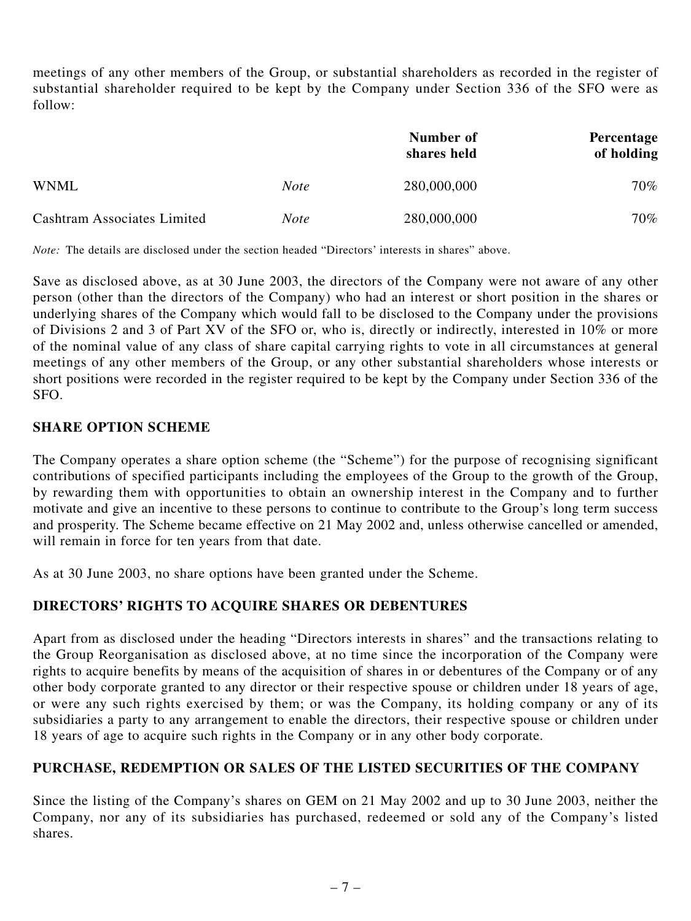meetings of any other members of the Group, or substantial shareholders as recorded in the register of substantial shareholder required to be kept by the Company under Section 336 of the SFO were as follow:

|                                    |             | Number of<br>shares held | Percentage<br>of holding |
|------------------------------------|-------------|--------------------------|--------------------------|
| <b>WNML</b>                        | <i>Note</i> | 280,000,000              | 70%                      |
| <b>Cashtram Associates Limited</b> | <i>Note</i> | 280,000,000              | $70\%$                   |

*Note:* The details are disclosed under the section headed "Directors' interests in shares" above.

Save as disclosed above, as at 30 June 2003, the directors of the Company were not aware of any other person (other than the directors of the Company) who had an interest or short position in the shares or underlying shares of the Company which would fall to be disclosed to the Company under the provisions of Divisions 2 and 3 of Part XV of the SFO or, who is, directly or indirectly, interested in 10% or more of the nominal value of any class of share capital carrying rights to vote in all circumstances at general meetings of any other members of the Group, or any other substantial shareholders whose interests or short positions were recorded in the register required to be kept by the Company under Section 336 of the SFO.

#### **SHARE OPTION SCHEME**

The Company operates a share option scheme (the "Scheme") for the purpose of recognising significant contributions of specified participants including the employees of the Group to the growth of the Group, by rewarding them with opportunities to obtain an ownership interest in the Company and to further motivate and give an incentive to these persons to continue to contribute to the Group's long term success and prosperity. The Scheme became effective on 21 May 2002 and, unless otherwise cancelled or amended, will remain in force for ten years from that date.

As at 30 June 2003, no share options have been granted under the Scheme.

## **DIRECTORS' RIGHTS TO ACQUIRE SHARES OR DEBENTURES**

Apart from as disclosed under the heading "Directors interests in shares" and the transactions relating to the Group Reorganisation as disclosed above, at no time since the incorporation of the Company were rights to acquire benefits by means of the acquisition of shares in or debentures of the Company or of any other body corporate granted to any director or their respective spouse or children under 18 years of age, or were any such rights exercised by them; or was the Company, its holding company or any of its subsidiaries a party to any arrangement to enable the directors, their respective spouse or children under 18 years of age to acquire such rights in the Company or in any other body corporate.

## **PURCHASE, REDEMPTION OR SALES OF THE LISTED SECURITIES OF THE COMPANY**

Since the listing of the Company's shares on GEM on 21 May 2002 and up to 30 June 2003, neither the Company, nor any of its subsidiaries has purchased, redeemed or sold any of the Company's listed shares.